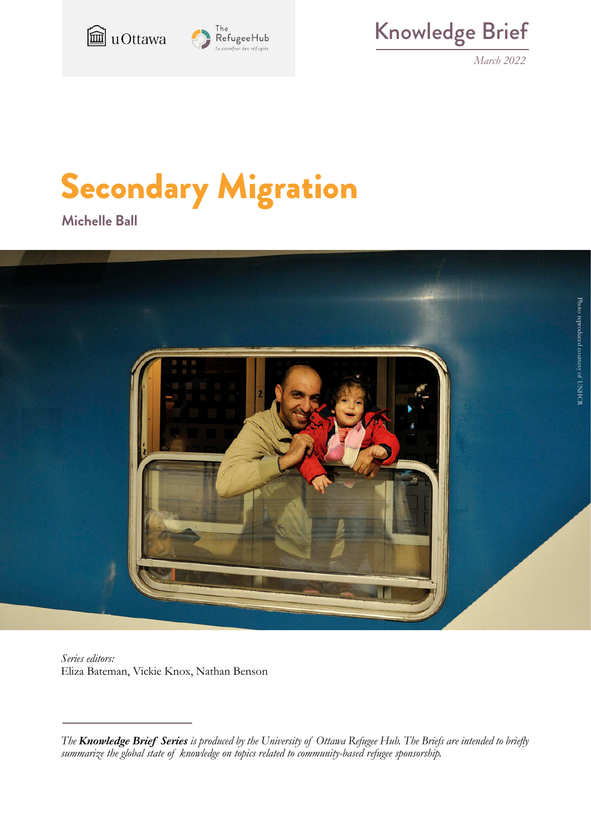



Knowledge Brief

*March 2022*

# Secondary Migration

**Michelle Ball**



*Series editors:* Eliza Bateman, Vickie Knox, Nathan Benson

*The Knowledge Brief Series is produced by the University of Ottawa Refugee Hub. The Briefs are intended to briefly summarize the global state of knowledge on topics related to community-based refugee sponsorship.*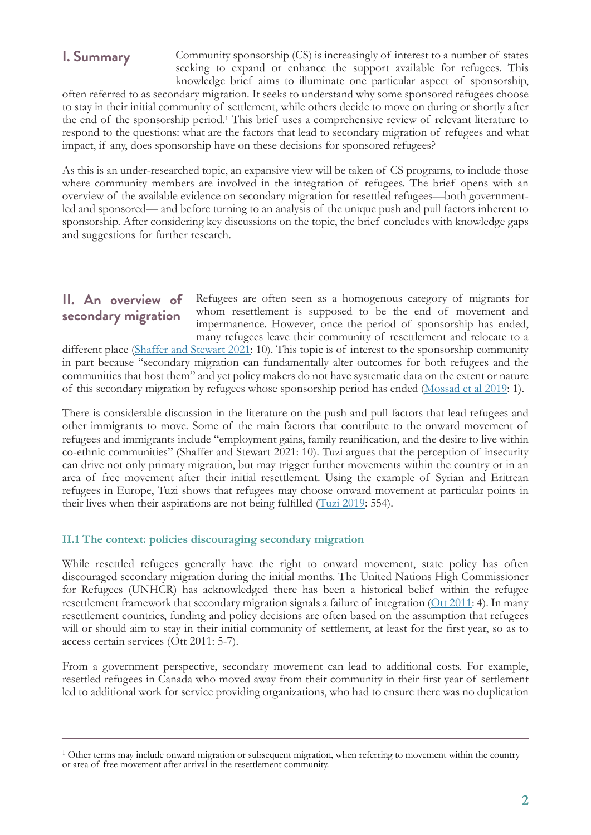## **I. Summary**

Community sponsorship (CS) is increasingly of interest to a number of states seeking to expand or enhance the support available for refugees. This knowledge brief aims to illuminate one particular aspect of sponsorship,

often referred to as secondary migration. It seeks to understand why some sponsored refugees choose to stay in their initial community of settlement, while others decide to move on during or shortly after the end of the sponsorship period.<sup>1</sup> This brief uses a comprehensive review of relevant literature to respond to the questions: what are the factors that lead to secondary migration of refugees and what impact, if any, does sponsorship have on these decisions for sponsored refugees?

As this is an under-researched topic, an expansive view will be taken of CS programs, to include those where community members are involved in the integration of refugees. The brief opens with an overview of the available evidence on secondary migration for resettled refugees—both governmentled and sponsored— and before turning to an analysis of the unique push and pull factors inherent to sponsorship. After considering key discussions on the topic, the brief concludes with knowledge gaps and suggestions for further research.

## **II. An overview of secondary migration**

Refugees are often seen as a homogenous category of migrants for whom resettlement is supposed to be the end of movement and impermanence. However, once the period of sponsorship has ended, many refugees leave their community of resettlement and relocate to a

different place (Shaffer and Stewart 2021: 10). This topic is of interest to the sponsorship community in part because "secondary migration can fundamentally alter outcomes for both refugees and the communities that host them" and yet policy makers do not have systematic data on the extent or nature of this secondary migration by refugees whose sponsorship period has ended (Mossad et al 2019: 1).

There is considerable discussion in the literature on the push and pull factors that lead refugees and other immigrants to move. Some of the main factors that contribute to the onward movement of refugees and immigrants include "employment gains, family reunification, and the desire to live within co-ethnic communities" (Shaffer and Stewart 2021: 10). Tuzi argues that the perception of insecurity can drive not only primary migration, but may trigger further movements within the country or in an area of free movement after their initial resettlement. Using the example of Syrian and Eritrean refugees in Europe, Tuzi shows that refugees may choose onward movement at particular points in their lives when their aspirations are not being fulfilled (Tuzi 2019: 554).

#### **II.1 The context: policies discouraging secondary migration**

While resettled refugees generally have the right to onward movement, state policy has often discouraged secondary migration during the initial months. The United Nations High Commissioner for Refugees (UNHCR) has acknowledged there has been a historical belief within the refugee resettlement framework that secondary migration signals a failure of integration (Ott 2011: 4). In many resettlement countries, funding and policy decisions are often based on the assumption that refugees will or should aim to stay in their initial community of settlement, at least for the first year, so as to access certain services (Ott 2011: 5-7).

From a government perspective, secondary movement can lead to additional costs. For example, resettled refugees in Canada who moved away from their community in their first year of settlement led to additional work for service providing organizations, who had to ensure there was no duplication

<sup>&</sup>lt;sup>1</sup> Other terms may include onward migration or subsequent migration, when referring to movement within the country or area of free movement after arrival in the resettlement community.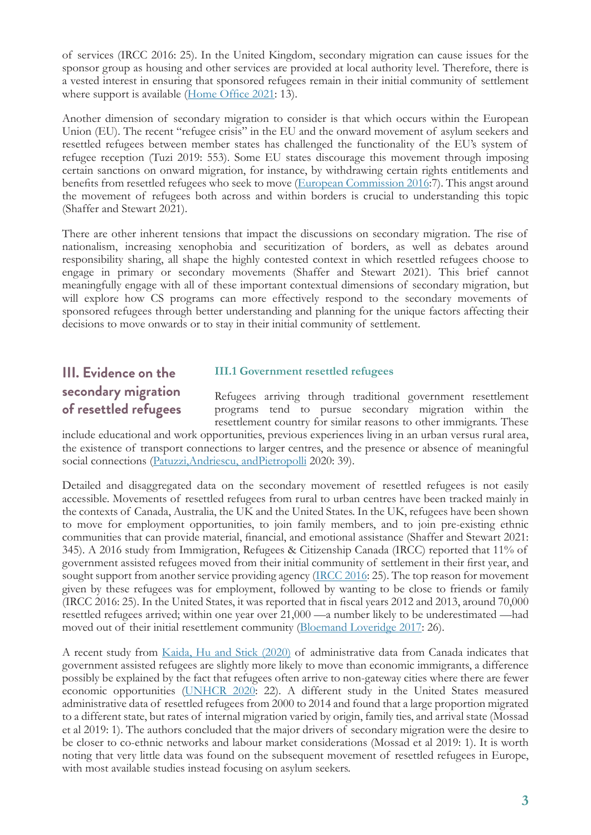of services (IRCC 2016: 25). In the United Kingdom, secondary migration can cause issues for the sponsor group as housing and other services are provided at local authority level. Therefore, there is a vested interest in ensuring that sponsored refugees remain in their initial community of settlement where support is available (Home Office 2021: 13).

Another dimension of secondary migration to consider is that which occurs within the European Union (EU). The recent "refugee crisis" in the EU and the onward movement of asylum seekers and resettled refugees between member states has challenged the functionality of the EU's system of refugee reception (Tuzi 2019: 553). Some EU states discourage this movement through imposing certain sanctions on onward migration, for instance, by withdrawing certain rights entitlements and benefits from resettled refugees who seek to move (European Commission 2016:7). This angst around the movement of refugees both across and within borders is crucial to understanding this topic (Shaffer and Stewart 2021).

There are other inherent tensions that impact the discussions on secondary migration. The rise of nationalism, increasing xenophobia and securitization of borders, as well as debates around responsibility sharing, all shape the highly contested context in which resettled refugees choose to engage in primary or secondary movements (Shaffer and Stewart 2021). This brief cannot meaningfully engage with all of these important contextual dimensions of secondary migration, but will explore how CS programs can more effectively respond to the secondary movements of sponsored refugees through better understanding and planning for the unique factors affecting their decisions to move onwards or to stay in their initial community of settlement.

## **III. Evidence on the secondary migration of resettled refugees**

#### **III.1 Government resettled refugees**

Refugees arriving through traditional government resettlement programs tend to pursue secondary migration within the resettlement country for similar reasons to other immigrants. These

include educational and work opportunities, previous experiences living in an urban versus rural area, the existence of transport connections to larger centres, and the presence or absence of meaningful social connections (Patuzzi,Andriescu, andPietropolli 2020: 39).

Detailed and disaggregated data on the secondary movement of resettled refugees is not easily accessible. Movements of resettled refugees from rural to urban centres have been tracked mainly in the contexts of Canada, Australia, the UK and the United States. In the UK, refugees have been shown to move for employment opportunities, to join family members, and to join pre-existing ethnic communities that can provide material, financial, and emotional assistance (Shaffer and Stewart 2021: 345). A 2016 study from Immigration, Refugees & Citizenship Canada (IRCC) reported that 11% of government assisted refugees moved from their initial community of settlement in their first year, and sought support from another service providing agency (IRCC 2016: 25). The top reason for movement given by these refugees was for employment, followed by wanting to be close to friends or family (IRCC 2016: 25). In the United States, it was reported that in fiscal years 2012 and 2013, around 70,000 resettled refugees arrived; within one year over 21,000 —a number likely to be underestimated —had moved out of their initial resettlement community (Bloemand Loveridge 2017: 26).

A recent study from Kaida, Hu and Stick (2020) of administrative data from Canada indicates that government assisted refugees are slightly more likely to move than economic immigrants, a difference possibly be explained by the fact that refugees often arrive to non-gateway cities where there are fewer economic opportunities (UNHCR 2020: 22). A different study in the United States measured administrative data of resettled refugees from 2000 to 2014 and found that a large proportion migrated to a different state, but rates of internal migration varied by origin, family ties, and arrival state (Mossad et al 2019: 1). The authors concluded that the major drivers of secondary migration were the desire to be closer to co-ethnic networks and labour market considerations (Mossad et al 2019: 1). It is worth noting that very little data was found on the subsequent movement of resettled refugees in Europe, with most available studies instead focusing on asylum seekers.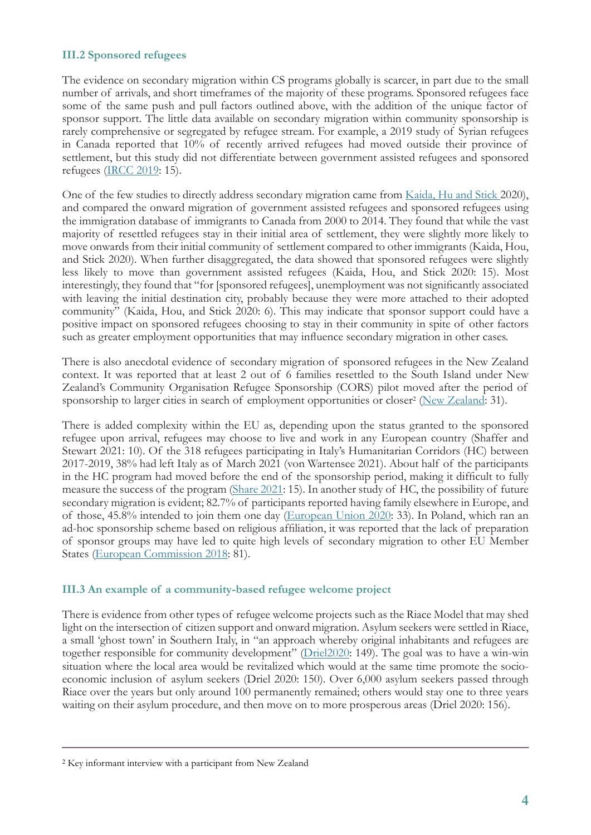#### **III.2 Sponsored refugees**

The evidence on secondary migration within CS programs globally is scarcer, in part due to the small number of arrivals, and short timeframes of the majority of these programs. Sponsored refugees face some of the same push and pull factors outlined above, with the addition of the unique factor of sponsor support. The little data available on secondary migration within community sponsorship is rarely comprehensive or segregated by refugee stream. For example, a 2019 study of Syrian refugees in Canada reported that 10% of recently arrived refugees had moved outside their province of settlement, but this study did not differentiate between government assisted refugees and sponsored refugees (IRCC 2019: 15).

One of the few studies to directly address secondary migration came from Kaida, Hu and Stick 2020), and compared the onward migration of government assisted refugees and sponsored refugees using the immigration database of immigrants to Canada from 2000 to 2014. They found that while the vast majority of resettled refugees stay in their initial area of settlement, they were slightly more likely to move onwards from their initial community of settlement compared to other immigrants (Kaida, Hou, and Stick 2020). When further disaggregated, the data showed that sponsored refugees were slightly less likely to move than government assisted refugees (Kaida, Hou, and Stick 2020: 15). Most interestingly, they found that "for [sponsored refugees], unemployment was not significantly associated with leaving the initial destination city, probably because they were more attached to their adopted community" (Kaida, Hou, and Stick 2020: 6). This may indicate that sponsor support could have a positive impact on sponsored refugees choosing to stay in their community in spite of other factors such as greater employment opportunities that may influence secondary migration in other cases.

There is also anecdotal evidence of secondary migration of sponsored refugees in the New Zealand context. It was reported that at least 2 out of 6 families resettled to the South Island under New Zealand's Community Organisation Refugee Sponsorship (CORS) pilot moved after the period of sponsorship to larger cities in search of employment opportunities or closer<sup>2</sup> (New Zealand: 31).

There is added complexity within the EU as, depending upon the status granted to the sponsored refugee upon arrival, refugees may choose to live and work in any European country (Shaffer and Stewart 2021: 10). Of the 318 refugees participating in Italy's Humanitarian Corridors (HC) between 2017-2019, 38% had left Italy as of March 2021 (von Wartensee 2021). About half of the participants in the HC program had moved before the end of the sponsorship period, making it difficult to fully measure the success of the program (Share 2021: 15). In another study of HC, the possibility of future secondary migration is evident; 82.7% of participants reported having family elsewhere in Europe, and of those, 45.8% intended to join them one day (European Union 2020: 33). In Poland, which ran an ad-hoc sponsorship scheme based on religious affiliation, it was reported that the lack of preparation of sponsor groups may have led to quite high levels of secondary migration to other EU Member States (European Commission 2018: 81).

#### **III.3 An example of a community-based refugee welcome project**

There is evidence from other types of refugee welcome projects such as the Riace Model that may shed light on the intersection of citizen support and onward migration. Asylum seekers were settled in Riace, a small 'ghost town' in Southern Italy, in "an approach whereby original inhabitants and refugees are together responsible for community development" (Driel2020: 149). The goal was to have a win-win situation where the local area would be revitalized which would at the same time promote the socioeconomic inclusion of asylum seekers (Driel 2020: 150). Over 6,000 asylum seekers passed through Riace over the years but only around 100 permanently remained; others would stay one to three years waiting on their asylum procedure, and then move on to more prosperous areas (Driel 2020: 156).

<sup>2</sup> Key informant interview with a participant from New Zealand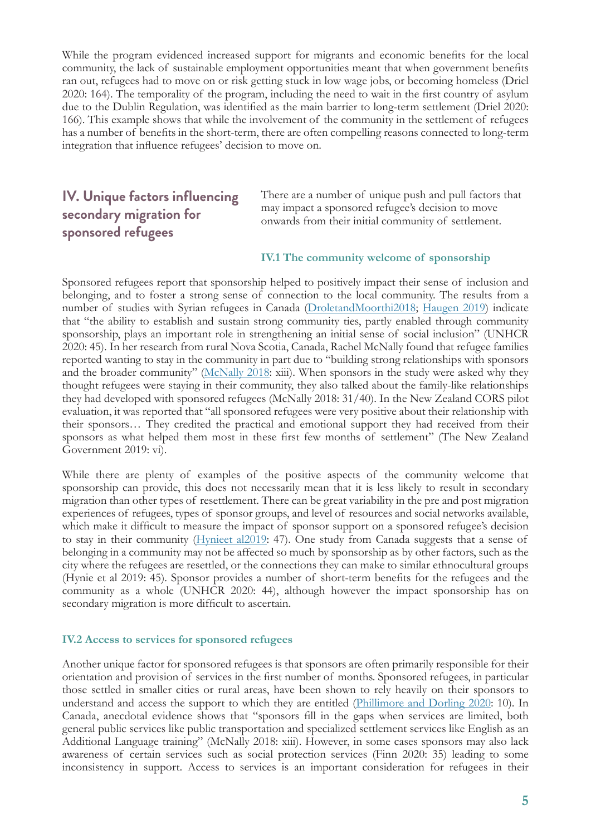While the program evidenced increased support for migrants and economic benefits for the local community, the lack of sustainable employment opportunities meant that when government benefits ran out, refugees had to move on or risk getting stuck in low wage jobs, or becoming homeless (Driel 2020: 164). The temporality of the program, including the need to wait in the first country of asylum due to the Dublin Regulation, was identified as the main barrier to long-term settlement (Driel 2020: 166). This example shows that while the involvement of the community in the settlement of refugees has a number of benefits in the short-term, there are often compelling reasons connected to long-term integration that influence refugees' decision to move on.

## **IV. Unique factors influencing secondary migration for sponsored refugees**

There are a number of unique push and pull factors that may impact a sponsored refugee's decision to move onwards from their initial community of settlement.

#### **IV.1 The community welcome of sponsorship**

Sponsored refugees report that sponsorship helped to positively impact their sense of inclusion and belonging, and to foster a strong sense of connection to the local community. The results from a number of studies with Syrian refugees in Canada (DroletandMoorthi2018; Haugen 2019) indicate that "the ability to establish and sustain strong community ties, partly enabled through community sponsorship, plays an important role in strengthening an initial sense of social inclusion" (UNHCR 2020: 45). In her research from rural Nova Scotia, Canada, Rachel McNally found that refugee families reported wanting to stay in the community in part due to "building strong relationships with sponsors and the broader community" (McNally 2018: xiii). When sponsors in the study were asked why they thought refugees were staying in their community, they also talked about the family-like relationships they had developed with sponsored refugees (McNally 2018: 31/40). In the New Zealand CORS pilot evaluation, it was reported that "all sponsored refugees were very positive about their relationship with their sponsors… They credited the practical and emotional support they had received from their sponsors as what helped them most in these first few months of settlement" (The New Zealand Government 2019: vi).

While there are plenty of examples of the positive aspects of the community welcome that sponsorship can provide, this does not necessarily mean that it is less likely to result in secondary migration than other types of resettlement. There can be great variability in the pre and post migration experiences of refugees, types of sponsor groups, and level of resources and social networks available, which make it difficult to measure the impact of sponsor support on a sponsored refugee's decision to stay in their community (Hynieet al2019: 47). One study from Canada suggests that a sense of belonging in a community may not be affected so much by sponsorship as by other factors, such as the city where the refugees are resettled, or the connections they can make to similar ethnocultural groups (Hynie et al 2019: 45). Sponsor provides a number of short-term benefits for the refugees and the community as a whole (UNHCR 2020: 44), although however the impact sponsorship has on secondary migration is more difficult to ascertain.

#### **IV.2 Access to services for sponsored refugees**

Another unique factor for sponsored refugees is that sponsors are often primarily responsible for their orientation and provision of services in the first number of months. Sponsored refugees, in particular those settled in smaller cities or rural areas, have been shown to rely heavily on their sponsors to understand and access the support to which they are entitled (Phillimore and Dorling 2020: 10). In Canada, anecdotal evidence shows that "sponsors fill in the gaps when services are limited, both general public services like public transportation and specialized settlement services like English as an Additional Language training" (McNally 2018: xiii). However, in some cases sponsors may also lack awareness of certain services such as social protection services (Finn 2020: 35) leading to some inconsistency in support. Access to services is an important consideration for refugees in their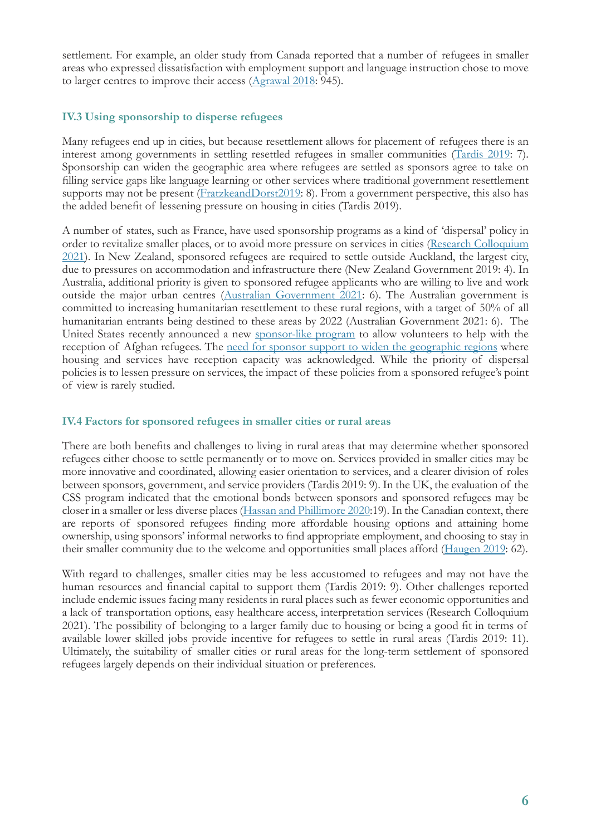settlement. For example, an older study from Canada reported that a number of refugees in smaller areas who expressed dissatisfaction with employment support and language instruction chose to move to larger centres to improve their access (Agrawal 2018: 945).

#### **IV.3 Using sponsorship to disperse refugees**

Many refugees end up in cities, but because resettlement allows for placement of refugees there is an interest among governments in settling resettled refugees in smaller communities (Tardis 2019: 7). Sponsorship can widen the geographic area where refugees are settled as sponsors agree to take on filling service gaps like language learning or other services where traditional government resettlement supports may not be present (FratzkeandDorst2019: 8). From a government perspective, this also has the added benefit of lessening pressure on housing in cities (Tardis 2019).

A number of states, such as France, have used sponsorship programs as a kind of 'dispersal' policy in order to revitalize smaller places, or to avoid more pressure on services in cities (Research Colloquium 2021). In New Zealand, sponsored refugees are required to settle outside Auckland, the largest city, due to pressures on accommodation and infrastructure there (New Zealand Government 2019: 4). In Australia, additional priority is given to sponsored refugee applicants who are willing to live and work outside the major urban centres (Australian Government 2021: 6). The Australian government is committed to increasing humanitarian resettlement to these rural regions, with a target of 50% of all humanitarian entrants being destined to these areas by 2022 (Australian Government 2021: 6). The United States recently announced a new sponsor-like program to allow volunteers to help with the reception of Afghan refugees. The need for sponsor support to widen the geographic regions where housing and services have reception capacity was acknowledged. While the priority of dispersal policies is to lessen pressure on services, the impact of these policies from a sponsored refugee's point of view is rarely studied.

#### **IV.4 Factors for sponsored refugees in smaller cities or rural areas**

There are both benefits and challenges to living in rural areas that may determine whether sponsored refugees either choose to settle permanently or to move on. Services provided in smaller cities may be more innovative and coordinated, allowing easier orientation to services, and a clearer division of roles between sponsors, government, and service providers (Tardis 2019: 9). In the UK, the evaluation of the CSS program indicated that the emotional bonds between sponsors and sponsored refugees may be closer in a smaller or less diverse places (Hassan and Phillimore 2020:19). In the Canadian context, there are reports of sponsored refugees finding more affordable housing options and attaining home ownership, using sponsors' informal networks to find appropriate employment, and choosing to stay in their smaller community due to the welcome and opportunities small places afford (Haugen 2019: 62).

With regard to challenges, smaller cities may be less accustomed to refugees and may not have the human resources and financial capital to support them (Tardis 2019: 9). Other challenges reported include endemic issues facing many residents in rural places such as fewer economic opportunities and a lack of transportation options, easy healthcare access, interpretation services (Research Colloquium 2021). The possibility of belonging to a larger family due to housing or being a good fit in terms of available lower skilled jobs provide incentive for refugees to settle in rural areas (Tardis 2019: 11). Ultimately, the suitability of smaller cities or rural areas for the long-term settlement of sponsored refugees largely depends on their individual situation or preferences.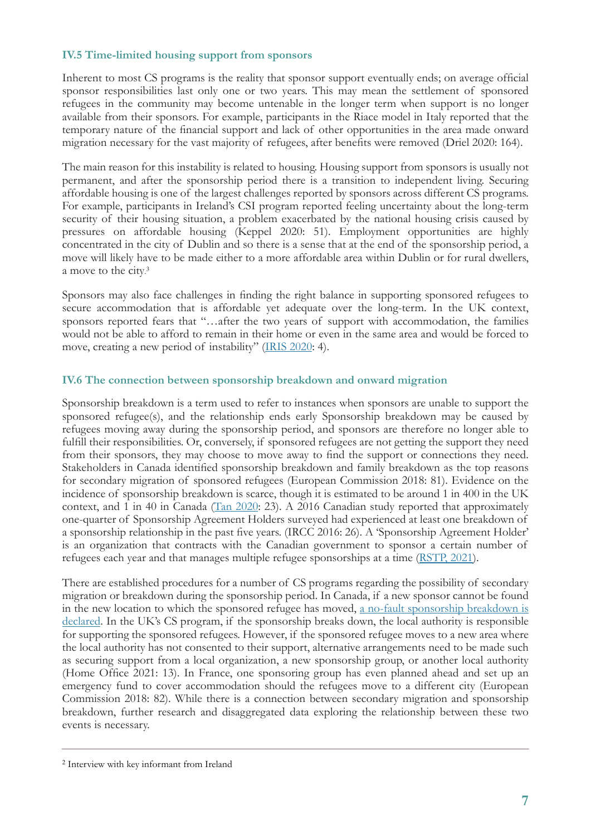#### **IV.5 Time-limited housing support from sponsors**

Inherent to most CS programs is the reality that sponsor support eventually ends; on average official sponsor responsibilities last only one or two years. This may mean the settlement of sponsored refugees in the community may become untenable in the longer term when support is no longer available from their sponsors. For example, participants in the Riace model in Italy reported that the temporary nature of the financial support and lack of other opportunities in the area made onward migration necessary for the vast majority of refugees, after benefits were removed (Driel 2020: 164).

The main reason for this instability is related to housing. Housing support from sponsors is usually not permanent, and after the sponsorship period there is a transition to independent living. Securing affordable housing is one of the largest challenges reported by sponsors across different CS programs. For example, participants in Ireland's CSI program reported feeling uncertainty about the long-term security of their housing situation, a problem exacerbated by the national housing crisis caused by pressures on affordable housing (Keppel 2020: 51). Employment opportunities are highly concentrated in the city of Dublin and so there is a sense that at the end of the sponsorship period, a move will likely have to be made either to a more affordable area within Dublin or for rural dwellers, a move to the city. 3

Sponsors may also face challenges in finding the right balance in supporting sponsored refugees to secure accommodation that is affordable yet adequate over the long-term. In the UK context, sponsors reported fears that "…after the two years of support with accommodation, the families would not be able to afford to remain in their home or even in the same area and would be forced to move, creating a new period of instability" (IRIS 2020: 4).

#### **IV.6 The connection between sponsorship breakdown and onward migration**

Sponsorship breakdown is a term used to refer to instances when sponsors are unable to support the sponsored refugee(s), and the relationship ends early Sponsorship breakdown may be caused by refugees moving away during the sponsorship period, and sponsors are therefore no longer able to fulfill their responsibilities. Or, conversely, if sponsored refugees are not getting the support they need from their sponsors, they may choose to move away to find the support or connections they need. Stakeholders in Canada identified sponsorship breakdown and family breakdown as the top reasons for secondary migration of sponsored refugees (European Commission 2018: 81). Evidence on the incidence of sponsorship breakdown is scarce, though it is estimated to be around 1 in 400 in the UK context, and 1 in 40 in Canada (Tan 2020: 23). A 2016 Canadian study reported that approximately one-quarter of Sponsorship Agreement Holders surveyed had experienced at least one breakdown of a sponsorship relationship in the past five years. (IRCC 2016: 26). A 'Sponsorship Agreement Holder' is an organization that contracts with the Canadian government to sponsor a certain number of refugees each year and that manages multiple refugee sponsorships at a time (RSTP, 2021).

There are established procedures for a number of CS programs regarding the possibility of secondary migration or breakdown during the sponsorship period. In Canada, if a new sponsor cannot be found in the new location to which the sponsored refugee has moved, a no-fault sponsorship breakdown is declared. In the UK's CS program, if the sponsorship breaks down, the local authority is responsible for supporting the sponsored refugees. However, if the sponsored refugee moves to a new area where the local authority has not consented to their support, alternative arrangements need to be made such as securing support from a local organization, a new sponsorship group, or another local authority (Home Office 2021: 13). In France, one sponsoring group has even planned ahead and set up an emergency fund to cover accommodation should the refugees move to a different city (European Commission 2018: 82). While there is a connection between secondary migration and sponsorship breakdown, further research and disaggregated data exploring the relationship between these two events is necessary.

<sup>2</sup> Interview with key informant from Ireland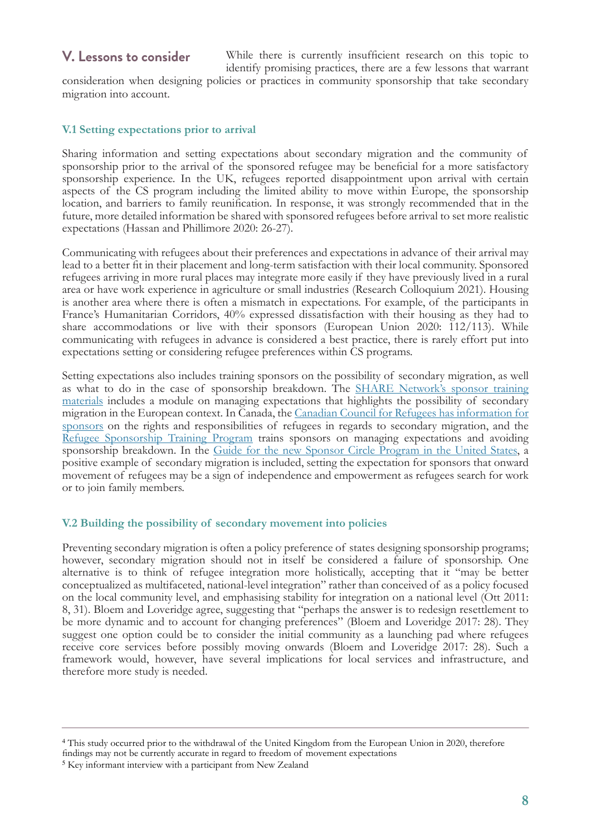### **V. Lessons to consider**

While there is currently insufficient research on this topic to identify promising practices, there are a few lessons that warrant

consideration when designing policies or practices in community sponsorship that take secondary migration into account.

#### **V.1 Setting expectations prior to arrival**

Sharing information and setting expectations about secondary migration and the community of sponsorship prior to the arrival of the sponsored refugee may be beneficial for a more satisfactory sponsorship experience. In the UK, refugees reported disappointment upon arrival with certain aspects of the CS program including the limited ability to move within Europe, the sponsorship location, and barriers to family reunification. In response, it was strongly recommended that in the future, more detailed information be shared with sponsored refugees before arrival to set more realistic expectations (Hassan and Phillimore 2020: 26-27).

Communicating with refugees about their preferences and expectations in advance of their arrival may lead to a better fit in their placement and long-term satisfaction with their local community. Sponsored refugees arriving in more rural places may integrate more easily if they have previously lived in a rural area or have work experience in agriculture or small industries (Research Colloquium 2021). Housing is another area where there is often a mismatch in expectations. For example, of the participants in France's Humanitarian Corridors, 40% expressed dissatisfaction with their housing as they had to share accommodations or live with their sponsors (European Union 2020: 112/113). While communicating with refugees in advance is considered a best practice, there is rarely effort put into expectations setting or considering refugee preferences within CS programs.

Setting expectations also includes training sponsors on the possibility of secondary migration, as well as what to do in the case of sponsorship breakdown. The SHARE Network's sponsor training materials includes a module on managing expectations that highlights the possibility of secondary migration in the European context. In Canada, the Canadian Council for Refugees has information for sponsors on the rights and responsibilities of refugees in regards to secondary migration, and the Refugee Sponsorship Training Program trains sponsors on managing expectations and avoiding sponsorship breakdown. In the Guide for the new Sponsor Circle Program in the United States, a positive example of secondary migration is included, setting the expectation for sponsors that onward movement of refugees may be a sign of independence and empowerment as refugees search for work or to join family members.

#### **V.2 Building the possibility of secondary movement into policies**

Preventing secondary migration is often a policy preference of states designing sponsorship programs; however, secondary migration should not in itself be considered a failure of sponsorship. One alternative is to think of refugee integration more holistically, accepting that it "may be better conceptualized as multifaceted, national-level integration" rather than conceived of as a policy focused on the local community level, and emphasising stability for integration on a national level (Ott 2011: 8, 31). Bloem and Loveridge agree, suggesting that "perhaps the answer is to redesign resettlement to be more dynamic and to account for changing preferences" (Bloem and Loveridge 2017: 28). They suggest one option could be to consider the initial community as a launching pad where refugees receive core services before possibly moving onwards (Bloem and Loveridge 2017: 28). Such a framework would, however, have several implications for local services and infrastructure, and therefore more study is needed.

<sup>4</sup> This study occurred prior to the withdrawal of the United Kingdom from the European Union in 2020, therefore findings may not be currently accurate in regard to freedom of movement expectations

<sup>5</sup> Key informant interview with a participant from New Zealand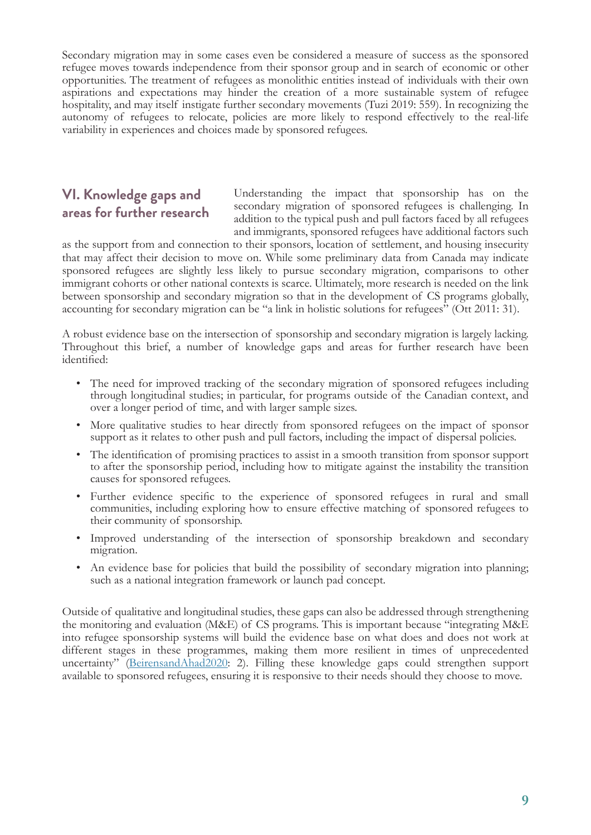Secondary migration may in some cases even be considered a measure of success as the sponsored refugee moves towards independence from their sponsor group and in search of economic or other opportunities. The treatment of refugees as monolithic entities instead of individuals with their own aspirations and expectations may hinder the creation of a more sustainable system of refugee hospitality, and may itself instigate further secondary movements (Tuzi 2019: 559). In recognizing the autonomy of refugees to relocate, policies are more likely to respond effectively to the real-life variability in experiences and choices made by sponsored refugees.

## **VI. Knowledge gaps and areas for further research**

Understanding the impact that sponsorship has on the secondary migration of sponsored refugees is challenging. In addition to the typical push and pull factors faced by all refugees and immigrants, sponsored refugees have additional factors such

as the support from and connection to their sponsors, location of settlement, and housing insecurity that may affect their decision to move on. While some preliminary data from Canada may indicate sponsored refugees are slightly less likely to pursue secondary migration, comparisons to other immigrant cohorts or other national contexts is scarce. Ultimately, more research is needed on the link between sponsorship and secondary migration so that in the development of CS programs globally, accounting for secondary migration can be "a link in holistic solutions for refugees" (Ott 2011: 31).

A robust evidence base on the intersection of sponsorship and secondary migration is largely lacking. Throughout this brief, a number of knowledge gaps and areas for further research have been identified:

- The need for improved tracking of the secondary migration of sponsored refugees including through longitudinal studies; in particular, for programs outside of the Canadian context, and over a longer period of time, and with larger sample sizes.
- More qualitative studies to hear directly from sponsored refugees on the impact of sponsor support as it relates to other push and pull factors, including the impact of dispersal policies.
- The identification of promising practices to assist in a smooth transition from sponsor support to after the sponsorship period, including how to mitigate against the instability the transition causes for sponsored refugees.
- Further evidence specific to the experience of sponsored refugees in rural and small communities, including exploring how to ensure effective matching of sponsored refugees to their community of sponsorship.
- Improved understanding of the intersection of sponsorship breakdown and secondary migration.
- An evidence base for policies that build the possibility of secondary migration into planning; such as a national integration framework or launch pad concept.

Outside of qualitative and longitudinal studies, these gaps can also be addressed through strengthening the monitoring and evaluation (M&E) of CS programs. This is important because "integrating M&E into refugee sponsorship systems will build the evidence base on what does and does not work at different stages in these programmes, making them more resilient in times of unprecedented uncertainty" (BeirensandAhad2020: 2). Filling these knowledge gaps could strengthen support available to sponsored refugees, ensuring it is responsive to their needs should they choose to move.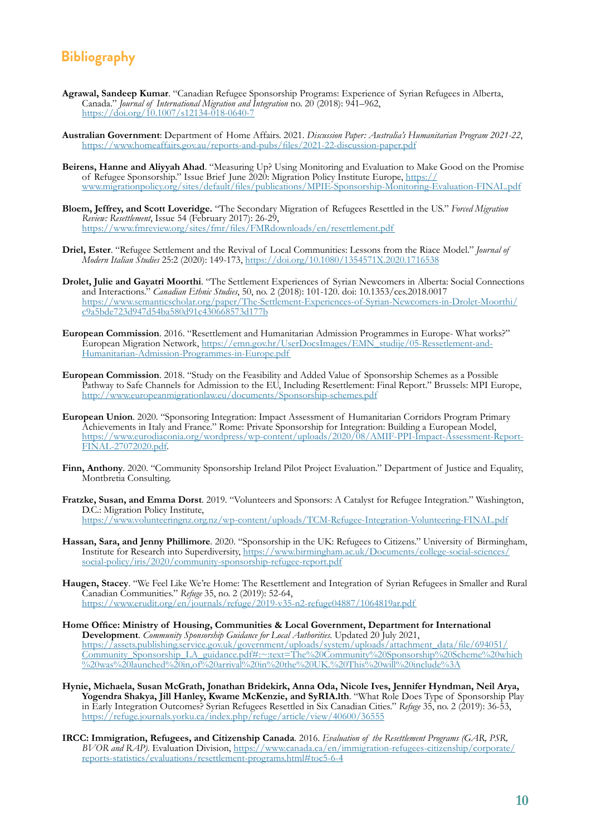## **Bibliography**

- **Agrawal, Sandeep Kumar**. "Canadian Refugee Sponsorship Programs: Experience of Syrian Refugees in Alberta, Canada." *Journal of International Migration and Integration* no. 20 (2018): 941–962, <https://doi.org/10.1007/s12134-018-0640-7>
- **Australian Government**: Department of Home Affairs. 2021. *Discussion Paper: Australia's Humanitarian Program 2021-22*, <https://www.homeaffairs.gov.au/reports-and-pubs/files/2021-22-discussion-paper.pdf>
- **Beirens, Hanne and Aliyyah Ahad**. "Measuring Up? Using Monitoring and Evaluation to Make Good on the Promise of Refugee Sponsorship." Issue Brief June 2020: Migration Policy Institute Europe, [https://](https://www.migrationpolicy.org/sites/default/files/publications/MPIE-Sponsorship-Monitoring-Evaluation-FINAL.pdf) [www.migrationpolicy.org/sites/default/files/publications/MPIE-Sponsorship-Monitoring-Evaluation-FINAL.pdf](https://www.migrationpolicy.org/sites/default/files/publications/MPIE-Sponsorship-Monitoring-Evaluation-FINAL.pdf)
- **Bloem, Jeffrey, and Scott Loveridge.** "The Secondary Migration of Refugees Resettled in the US." *Forced Migration Review: Resettlement*, Issue 54 (February 2017): 26-29, <https://www.fmreview.org/sites/fmr/files/FMRdownloads/en/resettlement.pdf>
- **Driel, Ester**. "Refugee Settlement and the Revival of Local Communities: Lessons from the Riace Model." *Journal of Modern Italian Studies* 25:2 (2020): 149-173, <https://doi.org/10.1080/1354571X.2020.1716538>
- **Drolet, Julie and Gayatri Moorthi**. "The Settlement Experiences of Syrian Newcomers in Alberta: Social Connections and Interactions." *Canadian Ethnic Studies*, 50, no. 2 (2018): 101-120. doi: 10.1353/ces.2018.0017 [https://www.semanticscholar.org/paper/The-Settlement-Experiences-of-Syrian-Newcomers-in-Drolet-Moorthi/](https://www.semanticscholar.org/paper/The-Settlement-Experiences-of-Syrian-Newcomers-in-Drolet-Moorthi/c9a5bde723d947d54ba580d91c430668573d177b) [c9a5bde723d947d54ba580d91c430668573d177b](https://www.semanticscholar.org/paper/The-Settlement-Experiences-of-Syrian-Newcomers-in-Drolet-Moorthi/c9a5bde723d947d54ba580d91c430668573d177b)
- **European Commission**. 2016. "Resettlement and Humanitarian Admission Programmes in Europe- What works?" European Migration Network, [https://emn.gov.hr/UserDocsImages/EMN\\_studije/05-Ressetlement-and-](https://emn.gov.hr/UserDocsImages/EMN_studije/05-Ressetlement-and-Humanitarian-Admission-Programmes-in-Europe.pdf)[Humanitarian-Admission-Programmes-in-Europe.pdf](https://emn.gov.hr/UserDocsImages/EMN_studije/05-Ressetlement-and-Humanitarian-Admission-Programmes-in-Europe.pdf)
- **European Commission**. 2018. "Study on the Feasibility and Added Value of Sponsorship Schemes as a Possible Pathway to Safe Channels for Admission to the EU, Including Resettlement: Final Report." Brussels: MPI Europe, <http://www.europeanmigrationlaw.eu/documents/Sponsorship-schemes.pdf>
- **European Union**. 2020. "Sponsoring Integration: Impact Assessment of Humanitarian Corridors Program Primary Achievements in Italy and France." Rome: Private Sponsorship for Integration: Building a European Model, [https://www.eurodiaconia.org/wordpress/wp-content/uploads/2020/08/AMIF-PPI-Impact-Assessment-Report-](https://www.eurodiaconia.org/wordpress/wp-content/uploads/2020/08/AMIF-PPI-Impact-Assessment-Report-FINAL-27072020.pdf)[FINAL-27072020.pdf.](https://www.eurodiaconia.org/wordpress/wp-content/uploads/2020/08/AMIF-PPI-Impact-Assessment-Report-FINAL-27072020.pdf)
- **Finn, Anthony**. 2020. "Community Sponsorship Ireland Pilot Project Evaluation." Department of Justice and Equality, Montbretia Consulting.
- **Fratzke, Susan, and Emma Dorst**. 2019. "Volunteers and Sponsors: A Catalyst for Refugee Integration." Washington, D.C.: Migration Policy Institute, <https://www.volunteeringnz.org.nz/wp-content/uploads/TCM-Refugee-Integration-Volunteering-FINAL.pdf>
- **Hassan, Sara, and Jenny Phillimore**. 2020. "Sponsorship in the UK: Refugees to Citizens." University of Birmingham, Institute for Research into Superdiversity, [https://www.birmingham.ac.uk/Documents/college-social-sciences/](https://www.birmingham.ac.uk/Documents/college-social-sciences/social-policy/iris/2020/community-sponsorship-refugee-report.pdf) [social-policy/iris/2020/community-sponsorship-refugee-report.pdf](https://www.birmingham.ac.uk/Documents/college-social-sciences/social-policy/iris/2020/community-sponsorship-refugee-report.pdf)
- **Haugen, Stacey**. "We Feel Like We're Home: The Resettlement and Integration of Syrian Refugees in Smaller and Rural Canadian Communities." *Refuge* 35, no. 2 (2019): 52-64, <https://www.erudit.org/en/journals/refuge/2019-v35-n2-refuge04887/1064819ar.pdf>
- **Home Office: Ministry of Housing, Communities & Local Government, Department for International Development**. *Community Sponsorship Guidance for Local Authorities*. Updated 20 July 2021, [https://assets.publishing.service.gov.uk/government/uploads/system/uploads/attachment\\_data/file/694051/](https://assets.publishing.service.gov.uk/government/uploads/system/uploads/attachment_data/file/694051/Community_Sponsorship_LA_guidance.pdf) [Community\\_Sponsorship\\_LA\\_guidance.pdf#:~:text=The%20Community%20Sponsorship%20Scheme%20which](https://assets.publishing.service.gov.uk/government/uploads/system/uploads/attachment_data/file/694051/Community_Sponsorship_LA_guidance.pdf) [%20was%20launched%20in,of%20arrival%20in%20the%20UK.%20This%20will%20include%3A](https://assets.publishing.service.gov.uk/government/uploads/system/uploads/attachment_data/file/694051/Community_Sponsorship_LA_guidance.pdf)
- **Hynie, Michaela, Susan McGrath, Jonathan Bridekirk, Anna Oda, Nicole Ives, Jennifer Hyndman, Neil Arya, Yogendra Shakya, Jill Hanley, Kwame McKenzie, and SyRIA.lth**. "What Role Does Type of Sponsorship Play in Early Integration Outcomes? Syrian Refugees Resettled in Six Canadian Cities." *Refuge* 35, no. 2 (2019): 36-53, <https://refuge.journals.yorku.ca/index.php/refuge/article/view/40600/36555>
- **IRCC: Immigration, Refugees, and Citizenship Canada***.* 2016. *Evaluation of the Resettlement Programs (GAR, PSR, BVOR and RAP)*. Evaluation Division, [https://www.canada.ca/en/immigration-refugees-citizenship/corporate/](https://www.canada.ca/en/immigration-refugees-citizenship/corporate/reports-statistics/evaluations/resettlement-programs.html) [reports-statistics/evaluations/resettlement-programs.html#toc5-6-4](https://www.canada.ca/en/immigration-refugees-citizenship/corporate/reports-statistics/evaluations/resettlement-programs.html)